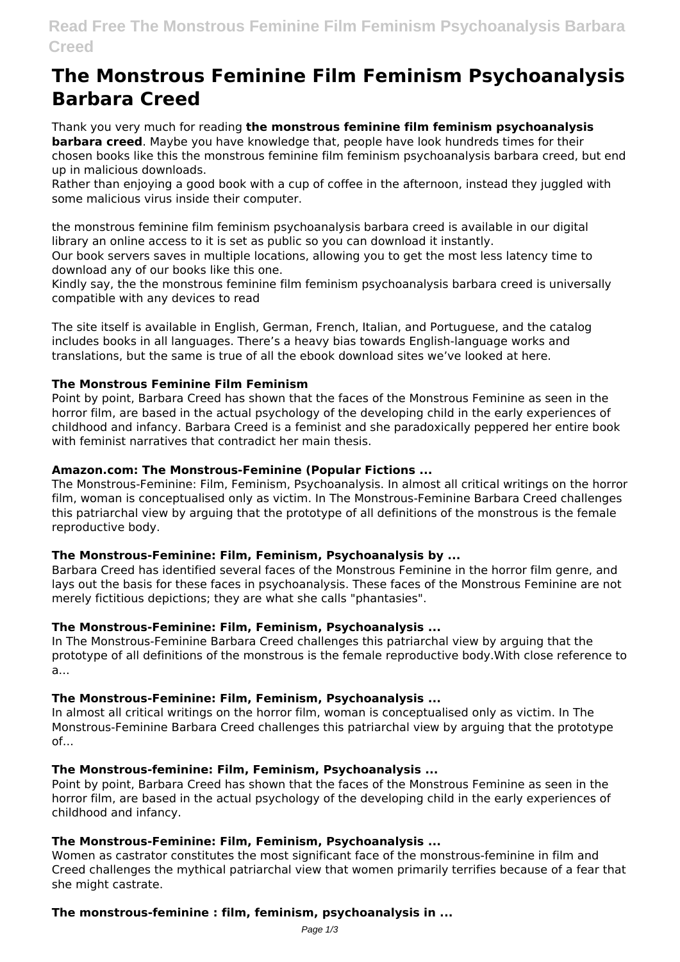# **The Monstrous Feminine Film Feminism Psychoanalysis Barbara Creed**

Thank you very much for reading **the monstrous feminine film feminism psychoanalysis barbara creed**. Maybe you have knowledge that, people have look hundreds times for their chosen books like this the monstrous feminine film feminism psychoanalysis barbara creed, but end up in malicious downloads.

Rather than enjoying a good book with a cup of coffee in the afternoon, instead they juggled with some malicious virus inside their computer.

the monstrous feminine film feminism psychoanalysis barbara creed is available in our digital library an online access to it is set as public so you can download it instantly.

Our book servers saves in multiple locations, allowing you to get the most less latency time to download any of our books like this one.

Kindly say, the the monstrous feminine film feminism psychoanalysis barbara creed is universally compatible with any devices to read

The site itself is available in English, German, French, Italian, and Portuguese, and the catalog includes books in all languages. There's a heavy bias towards English-language works and translations, but the same is true of all the ebook download sites we've looked at here.

# **The Monstrous Feminine Film Feminism**

Point by point, Barbara Creed has shown that the faces of the Monstrous Feminine as seen in the horror film, are based in the actual psychology of the developing child in the early experiences of childhood and infancy. Barbara Creed is a feminist and she paradoxically peppered her entire book with feminist narratives that contradict her main thesis.

# **Amazon.com: The Monstrous-Feminine (Popular Fictions ...**

The Monstrous-Feminine: Film, Feminism, Psychoanalysis. In almost all critical writings on the horror film, woman is conceptualised only as victim. In The Monstrous-Feminine Barbara Creed challenges this patriarchal view by arguing that the prototype of all definitions of the monstrous is the female reproductive body.

# **The Monstrous-Feminine: Film, Feminism, Psychoanalysis by ...**

Barbara Creed has identified several faces of the Monstrous Feminine in the horror film genre, and lays out the basis for these faces in psychoanalysis. These faces of the Monstrous Feminine are not merely fictitious depictions; they are what she calls "phantasies".

# **The Monstrous-Feminine: Film, Feminism, Psychoanalysis ...**

In The Monstrous-Feminine Barbara Creed challenges this patriarchal view by arguing that the prototype of all definitions of the monstrous is the female reproductive body.With close reference to a...

# **The Monstrous-Feminine: Film, Feminism, Psychoanalysis ...**

In almost all critical writings on the horror film, woman is conceptualised only as victim. In The Monstrous-Feminine Barbara Creed challenges this patriarchal view by arguing that the prototype of...

# **The Monstrous-feminine: Film, Feminism, Psychoanalysis ...**

Point by point, Barbara Creed has shown that the faces of the Monstrous Feminine as seen in the horror film, are based in the actual psychology of the developing child in the early experiences of childhood and infancy.

# **The Monstrous-Feminine: Film, Feminism, Psychoanalysis ...**

Women as castrator constitutes the most significant face of the monstrous-feminine in film and Creed challenges the mythical patriarchal view that women primarily terrifies because of a fear that she might castrate.

# **The monstrous-feminine : film, feminism, psychoanalysis in ...**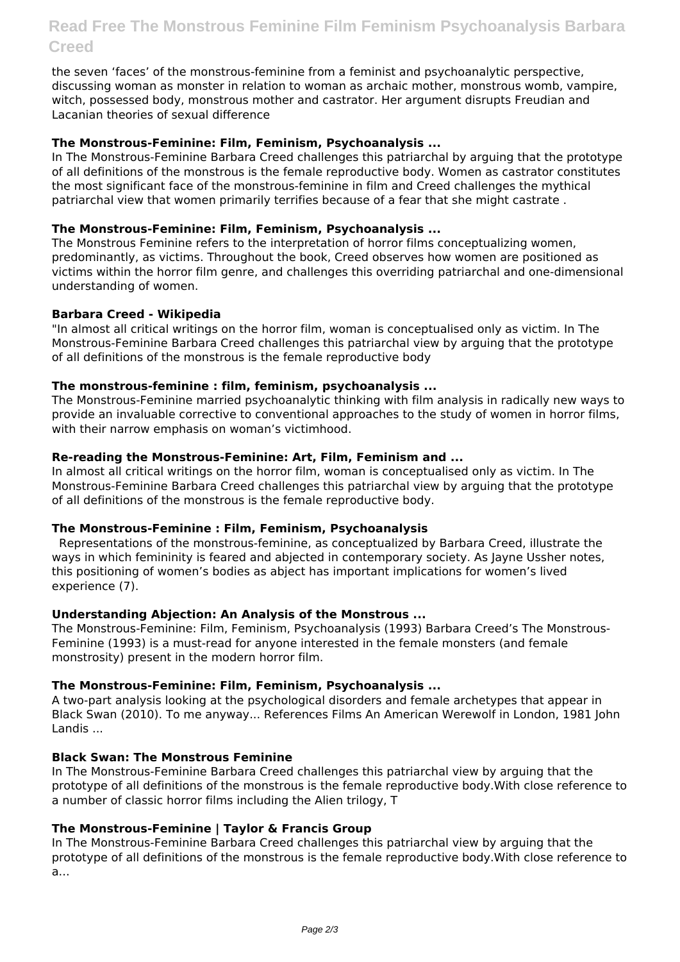# **Read Free The Monstrous Feminine Film Feminism Psychoanalysis Barbara Creed**

the seven 'faces' of the monstrous-feminine from a feminist and psychoanalytic perspective, discussing woman as monster in relation to woman as archaic mother, monstrous womb, vampire, witch, possessed body, monstrous mother and castrator. Her argument disrupts Freudian and Lacanian theories of sexual difference

# **The Monstrous-Feminine: Film, Feminism, Psychoanalysis ...**

In The Monstrous-Feminine Barbara Creed challenges this patriarchal by arguing that the prototype of all definitions of the monstrous is the female reproductive body. Women as castrator constitutes the most significant face of the monstrous-feminine in film and Creed challenges the mythical patriarchal view that women primarily terrifies because of a fear that she might castrate .

# **The Monstrous-Feminine: Film, Feminism, Psychoanalysis ...**

The Monstrous Feminine refers to the interpretation of horror films conceptualizing women, predominantly, as victims. Throughout the book, Creed observes how women are positioned as victims within the horror film genre, and challenges this overriding patriarchal and one-dimensional understanding of women.

# **Barbara Creed - Wikipedia**

"In almost all critical writings on the horror film, woman is conceptualised only as victim. In The Monstrous-Feminine Barbara Creed challenges this patriarchal view by arguing that the prototype of all definitions of the monstrous is the female reproductive body

# **The monstrous-feminine : film, feminism, psychoanalysis ...**

The Monstrous-Feminine married psychoanalytic thinking with film analysis in radically new ways to provide an invaluable corrective to conventional approaches to the study of women in horror films, with their narrow emphasis on woman's victimhood.

# **Re-reading the Monstrous-Feminine: Art, Film, Feminism and ...**

In almost all critical writings on the horror film, woman is conceptualised only as victim. In The Monstrous-Feminine Barbara Creed challenges this patriarchal view by arguing that the prototype of all definitions of the monstrous is the female reproductive body.

# **The Monstrous-Feminine : Film, Feminism, Psychoanalysis**

 Representations of the monstrous-feminine, as conceptualized by Barbara Creed, illustrate the ways in which femininity is feared and abjected in contemporary society. As layne Ussher notes, this positioning of women's bodies as abject has important implications for women's lived experience (7).

# **Understanding Abjection: An Analysis of the Monstrous ...**

The Monstrous-Feminine: Film, Feminism, Psychoanalysis (1993) Barbara Creed's The Monstrous-Feminine (1993) is a must-read for anyone interested in the female monsters (and female monstrosity) present in the modern horror film.

# **The Monstrous-Feminine: Film, Feminism, Psychoanalysis ...**

A two-part analysis looking at the psychological disorders and female archetypes that appear in Black Swan (2010). To me anyway... References Films An American Werewolf in London, 1981 John Landis ...

# **Black Swan: The Monstrous Feminine**

In The Monstrous-Feminine Barbara Creed challenges this patriarchal view by arguing that the prototype of all definitions of the monstrous is the female reproductive body.With close reference to a number of classic horror films including the Alien trilogy, T

# **The Monstrous-Feminine | Taylor & Francis Group**

In The Monstrous-Feminine Barbara Creed challenges this patriarchal view by arguing that the prototype of all definitions of the monstrous is the female reproductive body.With close reference to a...